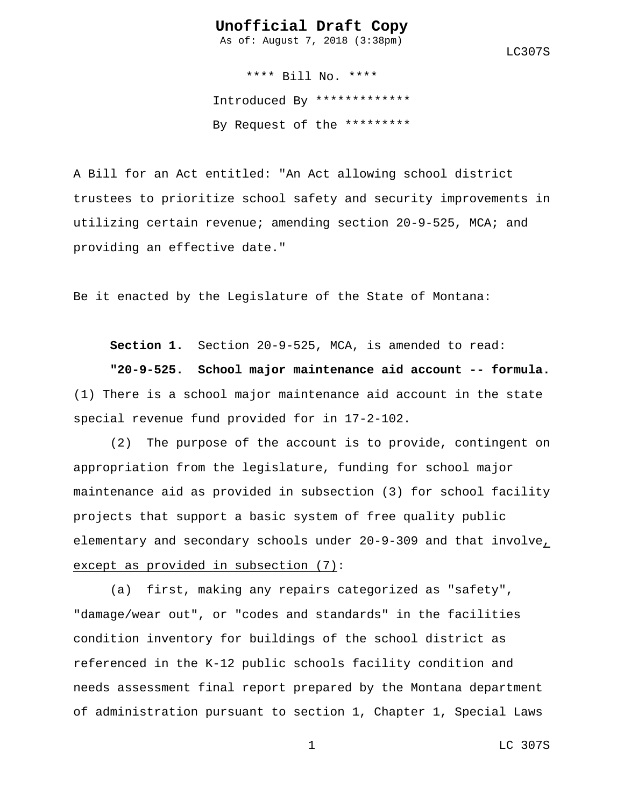As of: August 7, 2018 (3:38pm)

LC307S

\*\*\*\* Bill No. \*\*\*\* Introduced By \*\*\*\*\*\*\*\*\*\*\*\*\* By Request of the \*\*\*\*\*\*\*\*\*

A Bill for an Act entitled: "An Act allowing school district trustees to prioritize school safety and security improvements in utilizing certain revenue; amending section 20-9-525, MCA; and providing an effective date."

Be it enacted by the Legislature of the State of Montana:

**Section 1.** Section 20-9-525, MCA, is amended to read:

**"20-9-525. School major maintenance aid account -- formula.** (1) There is a school major maintenance aid account in the state special revenue fund provided for in 17-2-102.

(2) The purpose of the account is to provide, contingent on appropriation from the legislature, funding for school major maintenance aid as provided in subsection (3) for school facility projects that support a basic system of free quality public elementary and secondary schools under 20-9-309 and that involve, except as provided in subsection (7):

(a) first, making any repairs categorized as "safety", "damage/wear out", or "codes and standards" in the facilities condition inventory for buildings of the school district as referenced in the K-12 public schools facility condition and needs assessment final report prepared by the Montana department of administration pursuant to section 1, Chapter 1, Special Laws

1 LC 307S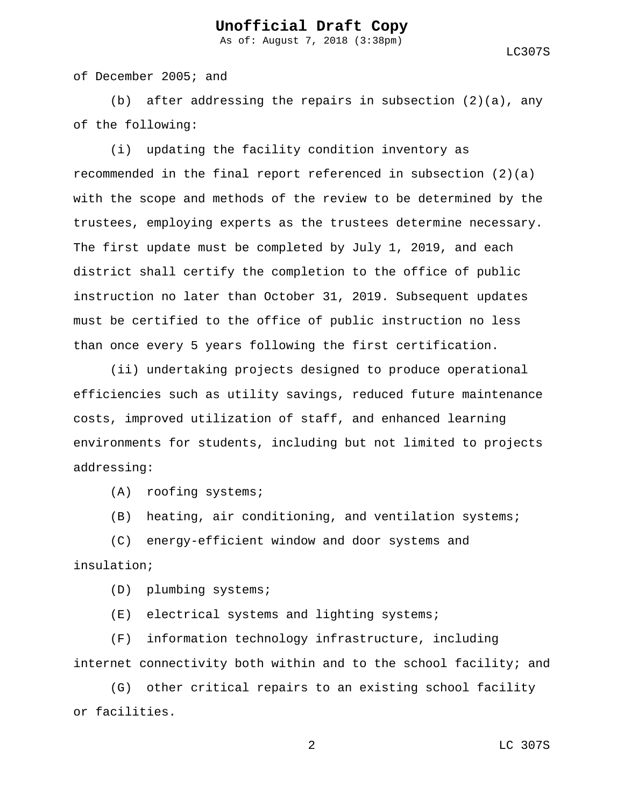As of: August 7, 2018 (3:38pm)

LC307S

of December 2005; and

(b) after addressing the repairs in subsection  $(2)(a)$ , any of the following:

(i) updating the facility condition inventory as recommended in the final report referenced in subsection  $(2)(a)$ with the scope and methods of the review to be determined by the trustees, employing experts as the trustees determine necessary. The first update must be completed by July 1, 2019, and each district shall certify the completion to the office of public instruction no later than October 31, 2019. Subsequent updates must be certified to the office of public instruction no less than once every 5 years following the first certification.

(ii) undertaking projects designed to produce operational efficiencies such as utility savings, reduced future maintenance costs, improved utilization of staff, and enhanced learning environments for students, including but not limited to projects addressing:

(A) roofing systems;

(B) heating, air conditioning, and ventilation systems;

(C) energy-efficient window and door systems and insulation;

(D) plumbing systems;

(E) electrical systems and lighting systems;

(F) information technology infrastructure, including internet connectivity both within and to the school facility; and

(G) other critical repairs to an existing school facility or facilities.

2 LC 307S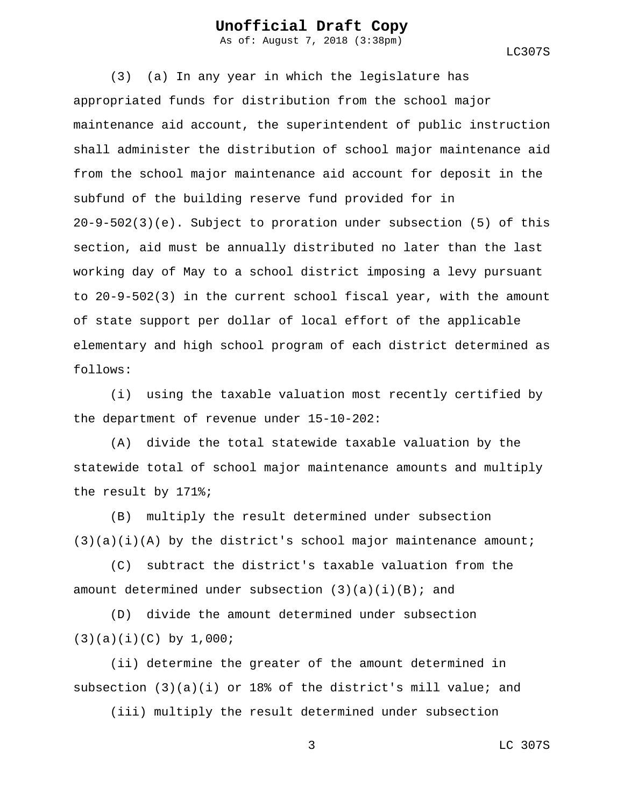As of: August 7, 2018 (3:38pm)

LC307S

(3) (a) In any year in which the legislature has appropriated funds for distribution from the school major maintenance aid account, the superintendent of public instruction shall administer the distribution of school major maintenance aid from the school major maintenance aid account for deposit in the subfund of the building reserve fund provided for in 20-9-502(3)(e). Subject to proration under subsection (5) of this section, aid must be annually distributed no later than the last working day of May to a school district imposing a levy pursuant to 20-9-502(3) in the current school fiscal year, with the amount of state support per dollar of local effort of the applicable elementary and high school program of each district determined as follows:

(i) using the taxable valuation most recently certified by the department of revenue under 15-10-202:

(A) divide the total statewide taxable valuation by the statewide total of school major maintenance amounts and multiply the result by 171%;

(B) multiply the result determined under subsection  $(3)(a)(i)(A)$  by the district's school major maintenance amount;

(C) subtract the district's taxable valuation from the amount determined under subsection  $(3)(a)(i)(B)$ ; and

(D) divide the amount determined under subsection (3)(a)(i)(C) by 1,000;

(ii) determine the greater of the amount determined in subsection (3)(a)(i) or 18% of the district's mill value; and

(iii) multiply the result determined under subsection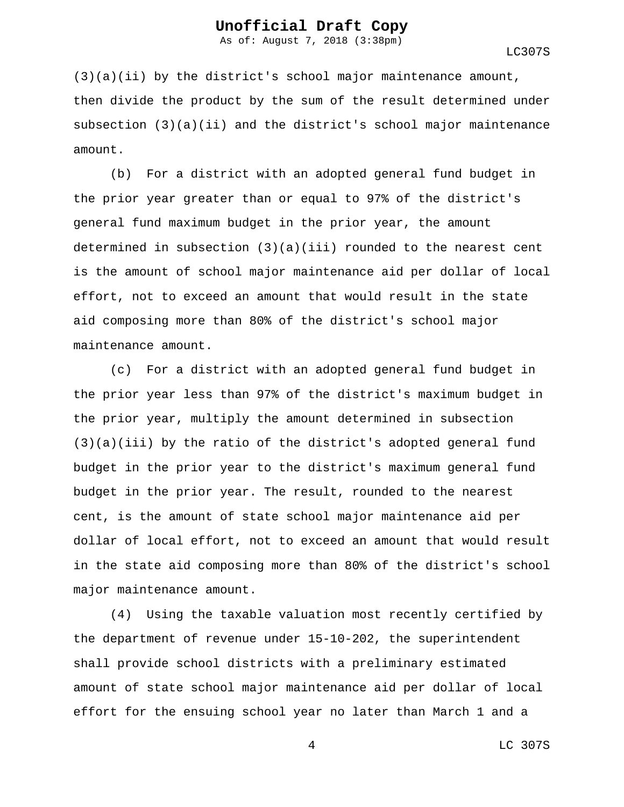As of: August 7, 2018 (3:38pm)

LC307S

(3)(a)(ii) by the district's school major maintenance amount, then divide the product by the sum of the result determined under subsection  $(3)(a)(ii)$  and the district's school major maintenance amount.

(b) For a district with an adopted general fund budget in the prior year greater than or equal to 97% of the district's general fund maximum budget in the prior year, the amount determined in subsection  $(3)(a)(iii)$  rounded to the nearest cent is the amount of school major maintenance aid per dollar of local effort, not to exceed an amount that would result in the state aid composing more than 80% of the district's school major maintenance amount.

(c) For a district with an adopted general fund budget in the prior year less than 97% of the district's maximum budget in the prior year, multiply the amount determined in subsection (3)(a)(iii) by the ratio of the district's adopted general fund budget in the prior year to the district's maximum general fund budget in the prior year. The result, rounded to the nearest cent, is the amount of state school major maintenance aid per dollar of local effort, not to exceed an amount that would result in the state aid composing more than 80% of the district's school major maintenance amount.

(4) Using the taxable valuation most recently certified by the department of revenue under 15-10-202, the superintendent shall provide school districts with a preliminary estimated amount of state school major maintenance aid per dollar of local effort for the ensuing school year no later than March 1 and a

4 LC 307S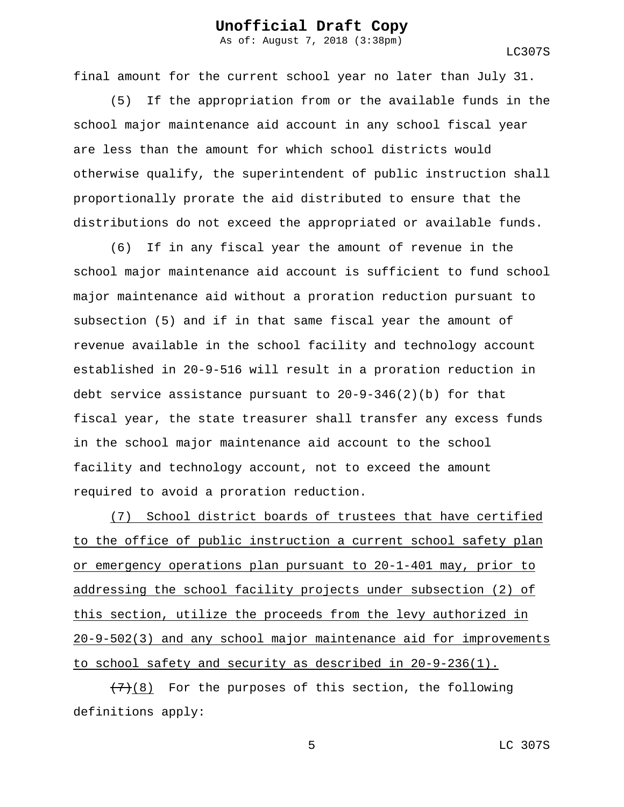As of: August 7, 2018 (3:38pm)

LC307S

final amount for the current school year no later than July 31.

(5) If the appropriation from or the available funds in the school major maintenance aid account in any school fiscal year are less than the amount for which school districts would otherwise qualify, the superintendent of public instruction shall proportionally prorate the aid distributed to ensure that the distributions do not exceed the appropriated or available funds.

(6) If in any fiscal year the amount of revenue in the school major maintenance aid account is sufficient to fund school major maintenance aid without a proration reduction pursuant to subsection (5) and if in that same fiscal year the amount of revenue available in the school facility and technology account established in 20-9-516 will result in a proration reduction in debt service assistance pursuant to  $20-9-346(2)(b)$  for that fiscal year, the state treasurer shall transfer any excess funds in the school major maintenance aid account to the school facility and technology account, not to exceed the amount required to avoid a proration reduction.

(7) School district boards of trustees that have certified to the office of public instruction a current school safety plan or emergency operations plan pursuant to 20-1-401 may, prior to addressing the school facility projects under subsection (2) of this section, utilize the proceeds from the levy authorized in 20-9-502(3) and any school major maintenance aid for improvements to school safety and security as described in 20-9-236(1).

 $(7)(8)$  For the purposes of this section, the following definitions apply: